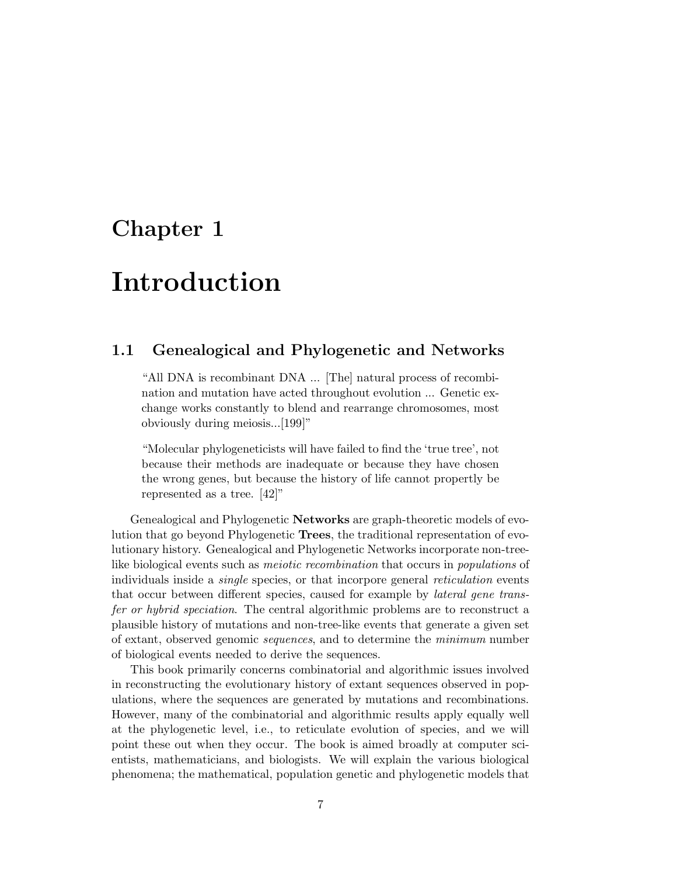## Chapter 1

# Introduction

## 1.1 Genealogical and Phylogenetic and Networks

"All DNA is recombinant DNA ... [The] natural process of recombination and mutation have acted throughout evolution ... Genetic exchange works constantly to blend and rearrange chromosomes, most obviously during meiosis...[199]"

"Molecular phylogeneticists will have failed to find the 'true tree', not because their methods are inadequate or because they have chosen the wrong genes, but because the history of life cannot propertly be represented as a tree. [42]"

Genealogical and Phylogenetic **Networks** are graph-theoretic models of evolution that go beyond Phylogenetic Trees, the traditional representation of evolutionary history. Genealogical and Phylogenetic Networks incorporate non-treelike biological events such as meiotic recombination that occurs in populations of individuals inside a *single* species, or that incorpore general *reticulation* events that occur between different species, caused for example by lateral gene transfer or hybrid speciation. The central algorithmic problems are to reconstruct a plausible history of mutations and non-tree-like events that generate a given set of extant, observed genomic sequences, and to determine the minimum number of biological events needed to derive the sequences.

This book primarily concerns combinatorial and algorithmic issues involved in reconstructing the evolutionary history of extant sequences observed in populations, where the sequences are generated by mutations and recombinations. However, many of the combinatorial and algorithmic results apply equally well at the phylogenetic level, i.e., to reticulate evolution of species, and we will point these out when they occur. The book is aimed broadly at computer scientists, mathematicians, and biologists. We will explain the various biological phenomena; the mathematical, population genetic and phylogenetic models that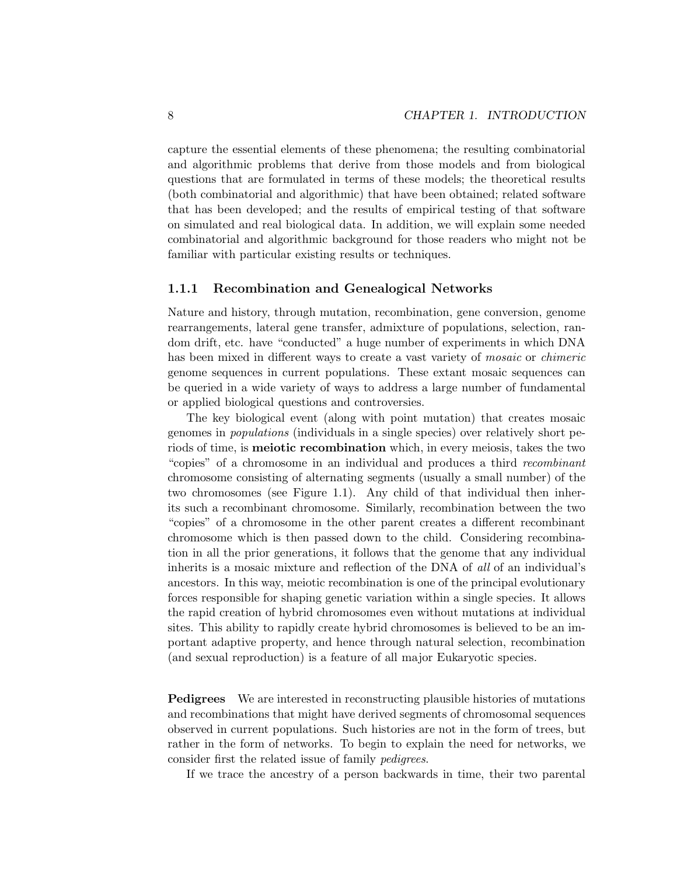capture the essential elements of these phenomena; the resulting combinatorial and algorithmic problems that derive from those models and from biological questions that are formulated in terms of these models; the theoretical results (both combinatorial and algorithmic) that have been obtained; related software that has been developed; and the results of empirical testing of that software on simulated and real biological data. In addition, we will explain some needed combinatorial and algorithmic background for those readers who might not be familiar with particular existing results or techniques.

## 1.1.1 Recombination and Genealogical Networks

Nature and history, through mutation, recombination, gene conversion, genome rearrangements, lateral gene transfer, admixture of populations, selection, random drift, etc. have "conducted" a huge number of experiments in which DNA has been mixed in different ways to create a vast variety of *mosaic* or *chimeric* genome sequences in current populations. These extant mosaic sequences can be queried in a wide variety of ways to address a large number of fundamental or applied biological questions and controversies.

The key biological event (along with point mutation) that creates mosaic genomes in populations (individuals in a single species) over relatively short periods of time, is meiotic recombination which, in every meiosis, takes the two "copies" of a chromosome in an individual and produces a third recombinant chromosome consisting of alternating segments (usually a small number) of the two chromosomes (see Figure 1.1). Any child of that individual then inherits such a recombinant chromosome. Similarly, recombination between the two "copies" of a chromosome in the other parent creates a different recombinant chromosome which is then passed down to the child. Considering recombination in all the prior generations, it follows that the genome that any individual inherits is a mosaic mixture and reflection of the DNA of all of an individual's ancestors. In this way, meiotic recombination is one of the principal evolutionary forces responsible for shaping genetic variation within a single species. It allows the rapid creation of hybrid chromosomes even without mutations at individual sites. This ability to rapidly create hybrid chromosomes is believed to be an important adaptive property, and hence through natural selection, recombination (and sexual reproduction) is a feature of all major Eukaryotic species.

Pedigrees We are interested in reconstructing plausible histories of mutations and recombinations that might have derived segments of chromosomal sequences observed in current populations. Such histories are not in the form of trees, but rather in the form of networks. To begin to explain the need for networks, we consider first the related issue of family pedigrees.

If we trace the ancestry of a person backwards in time, their two parental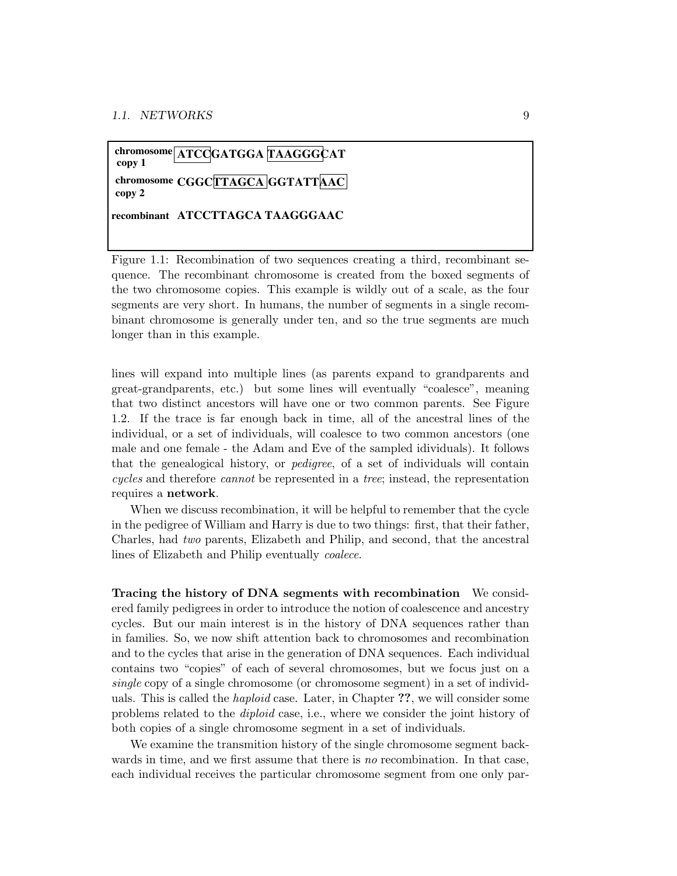## $\frac{1}{\sqrt{1-\frac{1}{2}}}$ **chromosome CGGCTTAGCA GGTATTAAC copy 2 recombinant ATCCTTAGCA TAAGGGAAC copy 1**

Figure 1.1: Recombination of two sequences creating a third, recombinant sequence. The recombinant chromosome is created from the boxed segments of the two chromosome copies. This example is wildly out of a scale, as the four segments are very short. In humans, the number of segments in a single recombinant chromosome is generally under ten, and so the true segments are much longer than in this example.

lines will expand into multiple lines (as parents expand to grandparents and great-grandparents, etc.) but some lines will eventually "coalesce", meaning that two distinct ancestors will have one or two common parents. See Figure 1.2. If the trace is far enough back in time, all of the ancestral lines of the individual, or a set of individuals, will coalesce to two common ancestors (one male and one female - the Adam and Eve of the sampled idividuals). It follows that the genealogical history, or pedigree, of a set of individuals will contain cycles and therefore cannot be represented in a tree; instead, the representation requires a network.

When we discuss recombination, it will be helpful to remember that the cycle in the pedigree of William and Harry is due to two things: first, that their father, Charles, had two parents, Elizabeth and Philip, and second, that the ancestral lines of Elizabeth and Philip eventually coalece.

Tracing the history of DNA segments with recombination We considered family pedigrees in order to introduce the notion of coalescence and ancestry cycles. But our main interest is in the history of DNA sequences rather than in families. So, we now shift attention back to chromosomes and recombination and to the cycles that arise in the generation of DNA sequences. Each individual contains two "copies" of each of several chromosomes, but we focus just on a single copy of a single chromosome (or chromosome segment) in a set of individuals. This is called the haploid case. Later, in Chapter ??, we will consider some problems related to the diploid case, i.e., where we consider the joint history of both copies of a single chromosome segment in a set of individuals.

We examine the transmition history of the single chromosome segment backwards in time, and we first assume that there is no recombination. In that case, each individual receives the particular chromosome segment from one only par-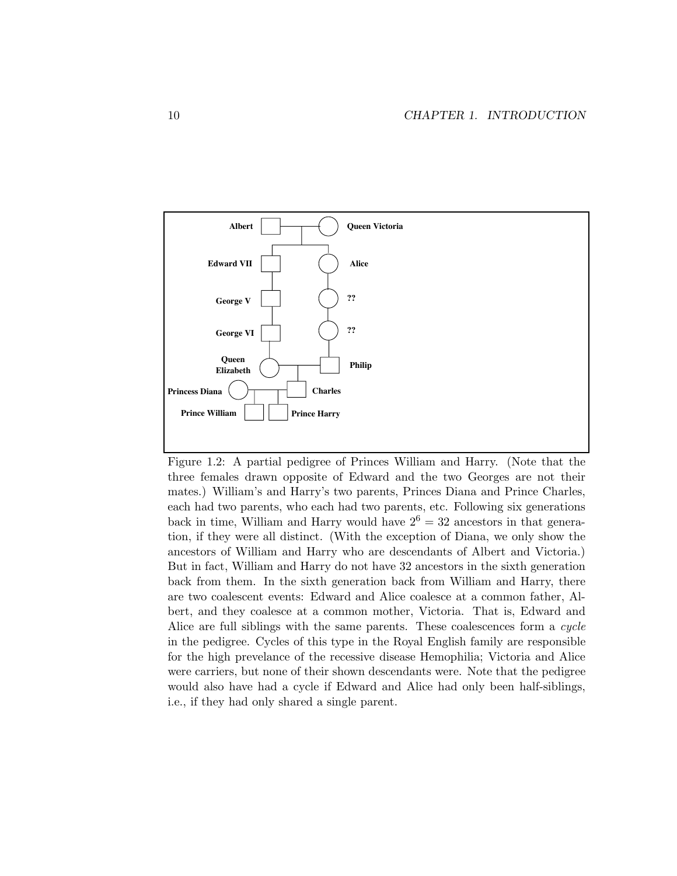

Figure 1.2: A partial pedigree of Princes William and Harry. (Note that the three females drawn opposite of Edward and the two Georges are not their mates.) William's and Harry's two parents, Princes Diana and Prince Charles, each had two parents, who each had two parents, etc. Following six generations back in time, William and Harry would have  $2^6 = 32$  ancestors in that generation, if they were all distinct. (With the exception of Diana, we only show the ancestors of William and Harry who are descendants of Albert and Victoria.) But in fact, William and Harry do not have 32 ancestors in the sixth generation back from them. In the sixth generation back from William and Harry, there are two coalescent events: Edward and Alice coalesce at a common father, Albert, and they coalesce at a common mother, Victoria. That is, Edward and Alice are full siblings with the same parents. These coalescences form a cycle in the pedigree. Cycles of this type in the Royal English family are responsible for the high prevelance of the recessive disease Hemophilia; Victoria and Alice were carriers, but none of their shown descendants were. Note that the pedigree would also have had a cycle if Edward and Alice had only been half-siblings, i.e., if they had only shared a single parent.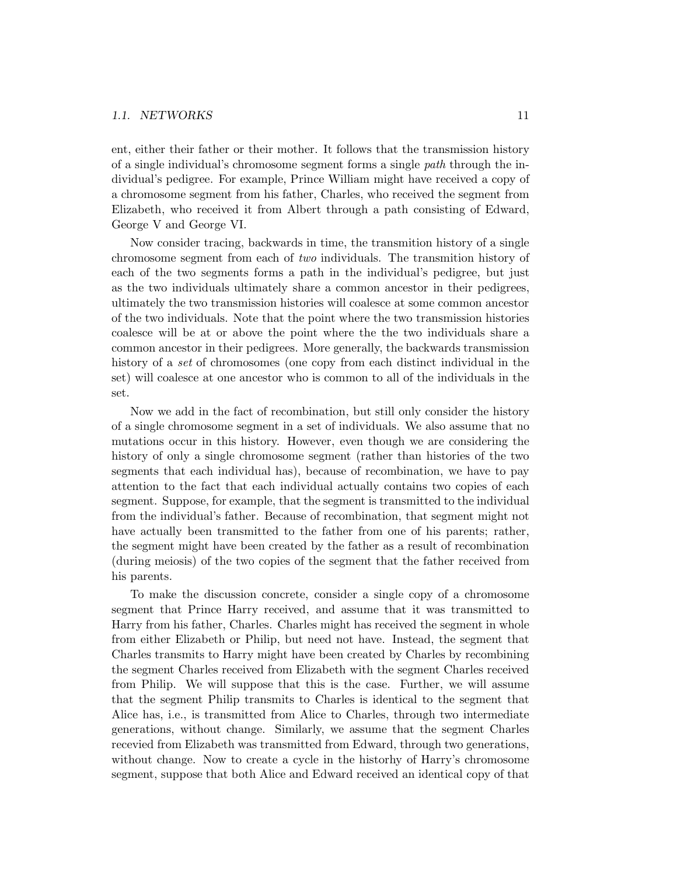#### 1.1. NETWORKS 11

ent, either their father or their mother. It follows that the transmission history of a single individual's chromosome segment forms a single path through the individual's pedigree. For example, Prince William might have received a copy of a chromosome segment from his father, Charles, who received the segment from Elizabeth, who received it from Albert through a path consisting of Edward, George V and George VI.

Now consider tracing, backwards in time, the transmition history of a single chromosome segment from each of two individuals. The transmition history of each of the two segments forms a path in the individual's pedigree, but just as the two individuals ultimately share a common ancestor in their pedigrees, ultimately the two transmission histories will coalesce at some common ancestor of the two individuals. Note that the point where the two transmission histories coalesce will be at or above the point where the the two individuals share a common ancestor in their pedigrees. More generally, the backwards transmission history of a set of chromosomes (one copy from each distinct individual in the set) will coalesce at one ancestor who is common to all of the individuals in the set.

Now we add in the fact of recombination, but still only consider the history of a single chromosome segment in a set of individuals. We also assume that no mutations occur in this history. However, even though we are considering the history of only a single chromosome segment (rather than histories of the two segments that each individual has), because of recombination, we have to pay attention to the fact that each individual actually contains two copies of each segment. Suppose, for example, that the segment is transmitted to the individual from the individual's father. Because of recombination, that segment might not have actually been transmitted to the father from one of his parents; rather, the segment might have been created by the father as a result of recombination (during meiosis) of the two copies of the segment that the father received from his parents.

To make the discussion concrete, consider a single copy of a chromosome segment that Prince Harry received, and assume that it was transmitted to Harry from his father, Charles. Charles might has received the segment in whole from either Elizabeth or Philip, but need not have. Instead, the segment that Charles transmits to Harry might have been created by Charles by recombining the segment Charles received from Elizabeth with the segment Charles received from Philip. We will suppose that this is the case. Further, we will assume that the segment Philip transmits to Charles is identical to the segment that Alice has, i.e., is transmitted from Alice to Charles, through two intermediate generations, without change. Similarly, we assume that the segment Charles recevied from Elizabeth was transmitted from Edward, through two generations, without change. Now to create a cycle in the historhy of Harry's chromosome segment, suppose that both Alice and Edward received an identical copy of that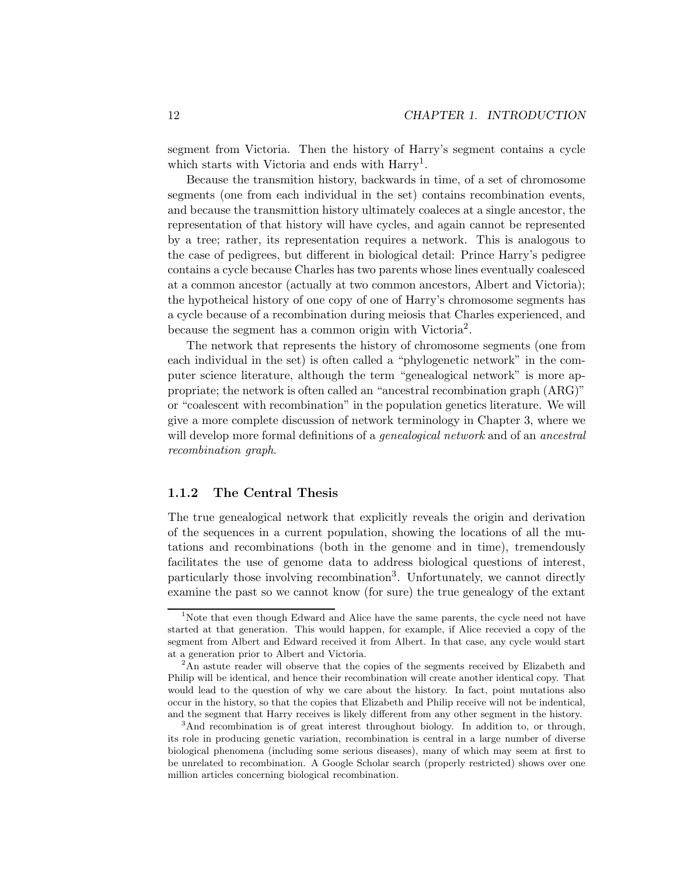segment from Victoria. Then the history of Harry's segment contains a cycle which starts with Victoria and ends with Harry<sup>1</sup>.

Because the transmition history, backwards in time, of a set of chromosome segments (one from each individual in the set) contains recombination events, and because the transmittion history ultimately coaleces at a single ancestor, the representation of that history will have cycles, and again cannot be represented by a tree; rather, its representation requires a network. This is analogous to the case of pedigrees, but different in biological detail: Prince Harry's pedigree contains a cycle because Charles has two parents whose lines eventually coalesced at a common ancestor (actually at two common ancestors, Albert and Victoria); the hypotheical history of one copy of one of Harry's chromosome segments has a cycle because of a recombination during meiosis that Charles experienced, and because the segment has a common origin with Victoria<sup>2</sup>.

The network that represents the history of chromosome segments (one from each individual in the set) is often called a "phylogenetic network" in the computer science literature, although the term "genealogical network" is more appropriate; the network is often called an "ancestral recombination graph (ARG)" or "coalescent with recombination" in the population genetics literature. We will give a more complete discussion of network terminology in Chapter 3, where we will develop more formal definitions of a *genealogical network* and of an *ancestral* recombination graph.

## 1.1.2 The Central Thesis

The true genealogical network that explicitly reveals the origin and derivation of the sequences in a current population, showing the locations of all the mutations and recombinations (both in the genome and in time), tremendously facilitates the use of genome data to address biological questions of interest, particularly those involving recombination3. Unfortunately, we cannot directly examine the past so we cannot know (for sure) the true genealogy of the extant

<sup>&</sup>lt;sup>1</sup>Note that even though Edward and Alice have the same parents, the cycle need not have started at that generation. This would happen, for example, if Alice recevied a copy of the segment from Albert and Edward received it from Albert. In that case, any cycle would start at a generation prior to Albert and Victoria.

<sup>&</sup>lt;sup>2</sup>An astute reader will observe that the copies of the segments received by Elizabeth and Philip will be identical, and hence their recombination will create another identical copy. That would lead to the question of why we care about the history. In fact, point mutations also occur in the history, so that the copies that Elizabeth and Philip receive will not be indentical, and the segment that Harry receives is likely different from any other segment in the history.

<sup>&</sup>lt;sup>3</sup>And recombination is of great interest throughout biology. In addition to, or through, its role in producing genetic variation, recombination is central in a large number of diverse biological phenomena (including some serious diseases), many of which may seem at first to be unrelated to recombination. A Google Scholar search (properly restricted) shows over one million articles concerning biological recombination.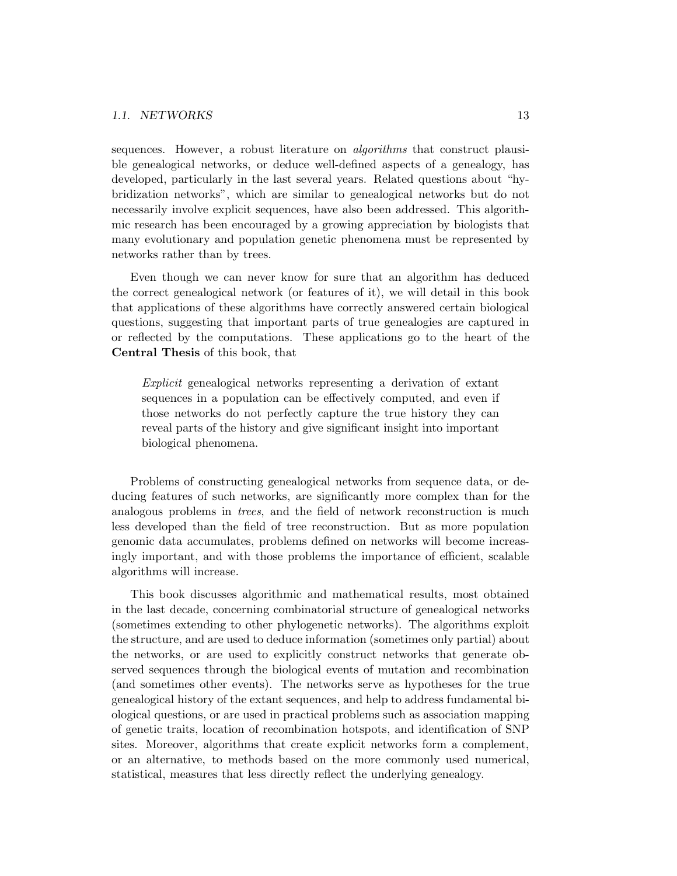sequences. However, a robust literature on *algorithms* that construct plausible genealogical networks, or deduce well-defined aspects of a genealogy, has developed, particularly in the last several years. Related questions about "hybridization networks", which are similar to genealogical networks but do not necessarily involve explicit sequences, have also been addressed. This algorithmic research has been encouraged by a growing appreciation by biologists that many evolutionary and population genetic phenomena must be represented by networks rather than by trees.

Even though we can never know for sure that an algorithm has deduced the correct genealogical network (or features of it), we will detail in this book that applications of these algorithms have correctly answered certain biological questions, suggesting that important parts of true genealogies are captured in or reflected by the computations. These applications go to the heart of the Central Thesis of this book, that

Explicit genealogical networks representing a derivation of extant sequences in a population can be effectively computed, and even if those networks do not perfectly capture the true history they can reveal parts of the history and give significant insight into important biological phenomena.

Problems of constructing genealogical networks from sequence data, or deducing features of such networks, are significantly more complex than for the analogous problems in trees, and the field of network reconstruction is much less developed than the field of tree reconstruction. But as more population genomic data accumulates, problems defined on networks will become increasingly important, and with those problems the importance of efficient, scalable algorithms will increase.

This book discusses algorithmic and mathematical results, most obtained in the last decade, concerning combinatorial structure of genealogical networks (sometimes extending to other phylogenetic networks). The algorithms exploit the structure, and are used to deduce information (sometimes only partial) about the networks, or are used to explicitly construct networks that generate observed sequences through the biological events of mutation and recombination (and sometimes other events). The networks serve as hypotheses for the true genealogical history of the extant sequences, and help to address fundamental biological questions, or are used in practical problems such as association mapping of genetic traits, location of recombination hotspots, and identification of SNP sites. Moreover, algorithms that create explicit networks form a complement, or an alternative, to methods based on the more commonly used numerical, statistical, measures that less directly reflect the underlying genealogy.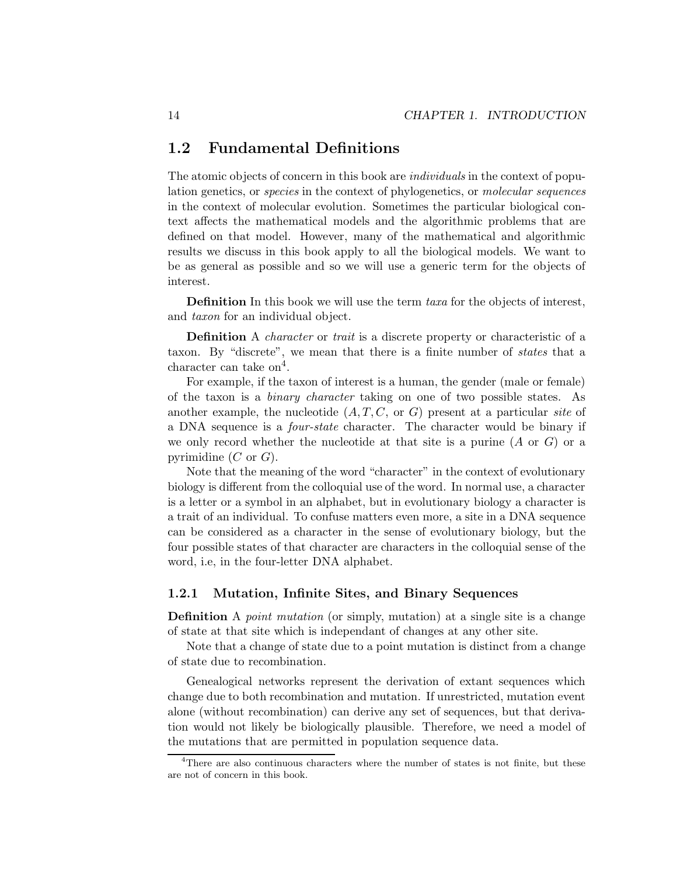## 1.2 Fundamental Definitions

The atomic objects of concern in this book are individuals in the context of population genetics, or species in the context of phylogenetics, or molecular sequences in the context of molecular evolution. Sometimes the particular biological context affects the mathematical models and the algorithmic problems that are defined on that model. However, many of the mathematical and algorithmic results we discuss in this book apply to all the biological models. We want to be as general as possible and so we will use a generic term for the objects of interest.

Definition In this book we will use the term taxa for the objects of interest, and taxon for an individual object.

Definition A *character* or *trait* is a discrete property or characteristic of a taxon. By "discrete", we mean that there is a finite number of states that a character can take  $\text{on}^4$ .

For example, if the taxon of interest is a human, the gender (male or female) of the taxon is a binary character taking on one of two possible states. As another example, the nucleotide  $(A, T, C, \text{ or } G)$  present at a particular site of a DNA sequence is a four-state character. The character would be binary if we only record whether the nucleotide at that site is a purine  $(A \text{ or } G)$  or a pyrimidine  $(C \text{ or } G)$ .

Note that the meaning of the word "character" in the context of evolutionary biology is different from the colloquial use of the word. In normal use, a character is a letter or a symbol in an alphabet, but in evolutionary biology a character is a trait of an individual. To confuse matters even more, a site in a DNA sequence can be considered as a character in the sense of evolutionary biology, but the four possible states of that character are characters in the colloquial sense of the word, i.e, in the four-letter DNA alphabet.

## 1.2.1 Mutation, Infinite Sites, and Binary Sequences

Definition A point mutation (or simply, mutation) at a single site is a change of state at that site which is independant of changes at any other site.

Note that a change of state due to a point mutation is distinct from a change of state due to recombination.

Genealogical networks represent the derivation of extant sequences which change due to both recombination and mutation. If unrestricted, mutation event alone (without recombination) can derive any set of sequences, but that derivation would not likely be biologically plausible. Therefore, we need a model of the mutations that are permitted in population sequence data.

<sup>&</sup>lt;sup>4</sup>There are also continuous characters where the number of states is not finite, but these are not of concern in this book.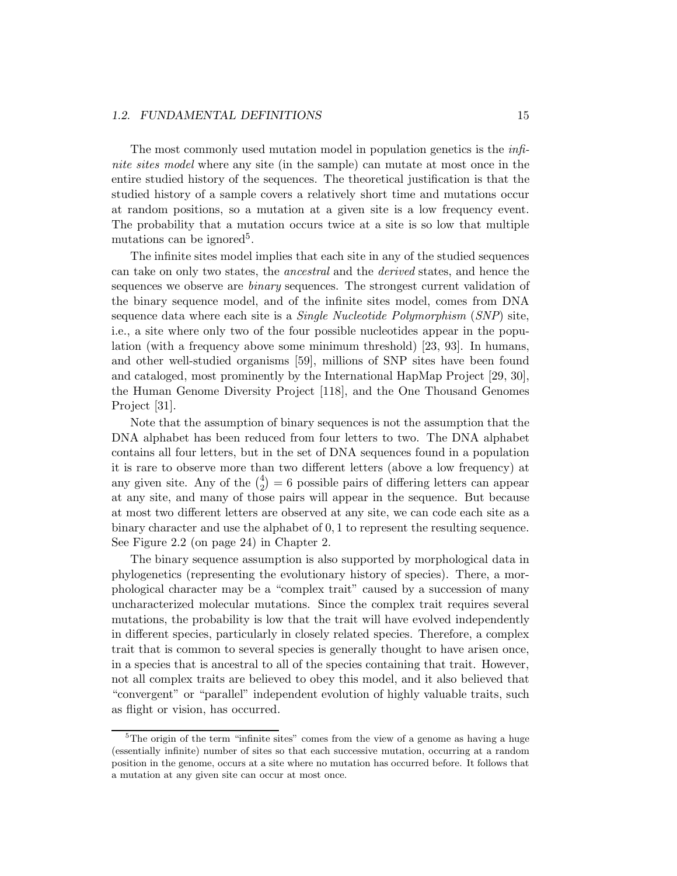#### 1.2. FUNDAMENTAL DEFINITIONS 15

The most commonly used mutation model in population genetics is the infinite sites model where any site (in the sample) can mutate at most once in the entire studied history of the sequences. The theoretical justification is that the studied history of a sample covers a relatively short time and mutations occur at random positions, so a mutation at a given site is a low frequency event. The probability that a mutation occurs twice at a site is so low that multiple mutations can be ignored<sup>5</sup>.

The infinite sites model implies that each site in any of the studied sequences can take on only two states, the ancestral and the derived states, and hence the sequences we observe are binary sequences. The strongest current validation of the binary sequence model, and of the infinite sites model, comes from DNA sequence data where each site is a Single Nucleotide Polymorphism (SNP) site, i.e., a site where only two of the four possible nucleotides appear in the population (with a frequency above some minimum threshold) [23, 93]. In humans, and other well-studied organisms [59], millions of SNP sites have been found and cataloged, most prominently by the International HapMap Project [29, 30], the Human Genome Diversity Project [118], and the One Thousand Genomes Project [31].

Note that the assumption of binary sequences is not the assumption that the DNA alphabet has been reduced from four letters to two. The DNA alphabet contains all four letters, but in the set of DNA sequences found in a population it is rare to observe more than two different letters (above a low frequency) at any given site. Any of the  $\binom{4}{2} = 6$  possible pairs of differing letters can appear at any site, and many of those pairs will appear in the sequence. But because at most two different letters are observed at any site, we can code each site as a binary character and use the alphabet of 0, 1 to represent the resulting sequence. See Figure 2.2 (on page 24) in Chapter 2.

The binary sequence assumption is also supported by morphological data in phylogenetics (representing the evolutionary history of species). There, a morphological character may be a "complex trait" caused by a succession of many uncharacterized molecular mutations. Since the complex trait requires several mutations, the probability is low that the trait will have evolved independently in different species, particularly in closely related species. Therefore, a complex trait that is common to several species is generally thought to have arisen once, in a species that is ancestral to all of the species containing that trait. However, not all complex traits are believed to obey this model, and it also believed that "convergent" or "parallel" independent evolution of highly valuable traits, such as flight or vision, has occurred.

<sup>&</sup>lt;sup>5</sup>The origin of the term "infinite sites" comes from the view of a genome as having a huge (essentially infinite) number of sites so that each successive mutation, occurring at a random position in the genome, occurs at a site where no mutation has occurred before. It follows that a mutation at any given site can occur at most once.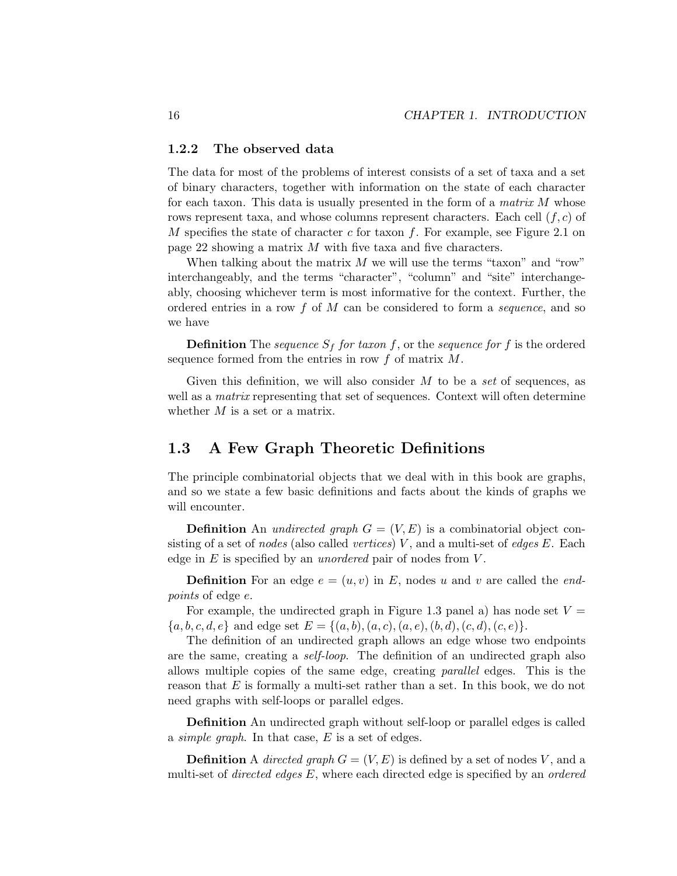#### 1.2.2 The observed data

The data for most of the problems of interest consists of a set of taxa and a set of binary characters, together with information on the state of each character for each taxon. This data is usually presented in the form of a *matrix M* whose rows represent taxa, and whose columns represent characters. Each cell  $(f, c)$  of M specifies the state of character c for taxon f. For example, see Figure 2.1 on page 22 showing a matrix M with five taxa and five characters.

When talking about the matrix  $M$  we will use the terms "taxon" and "row" interchangeably, and the terms "character", "column" and "site" interchangeably, choosing whichever term is most informative for the context. Further, the ordered entries in a row  $f$  of  $M$  can be considered to form a *sequence*, and so we have

**Definition** The sequence  $S_f$  for taxon f, or the sequence for f is the ordered sequence formed from the entries in row  $f$  of matrix  $M$ .

Given this definition, we will also consider  $M$  to be a set of sequences, as well as a *matrix* representing that set of sequences. Context will often determine whether M is a set or a matrix.

## 1.3 A Few Graph Theoretic Definitions

The principle combinatorial objects that we deal with in this book are graphs, and so we state a few basic definitions and facts about the kinds of graphs we will encounter.

**Definition** An *undirected graph*  $G = (V, E)$  is a combinatorial object consisting of a set of *nodes* (also called *vertices*)  $V$ , and a multi-set of *edges*  $E$ . Each edge in  $E$  is specified by an *unordered* pair of nodes from  $V$ .

**Definition** For an edge  $e = (u, v)$  in E, nodes u and v are called the endpoints of edge e.

For example, the undirected graph in Figure 1.3 panel a) has node set  $V =$  ${a, b, c, d, e}$  and edge set  $E = {(a, b), (a, c), (a, e), (b, d), (c, d), (c, e)}.$ 

The definition of an undirected graph allows an edge whose two endpoints are the same, creating a self-loop. The definition of an undirected graph also allows multiple copies of the same edge, creating parallel edges. This is the reason that  $E$  is formally a multi-set rather than a set. In this book, we do not need graphs with self-loops or parallel edges.

Definition An undirected graph without self-loop or parallel edges is called a *simple graph*. In that case,  $E$  is a set of edges.

**Definition** A directed graph  $G = (V, E)$  is defined by a set of nodes V, and a multi-set of *directed edges*  $E$ , where each directed edge is specified by an *ordered*